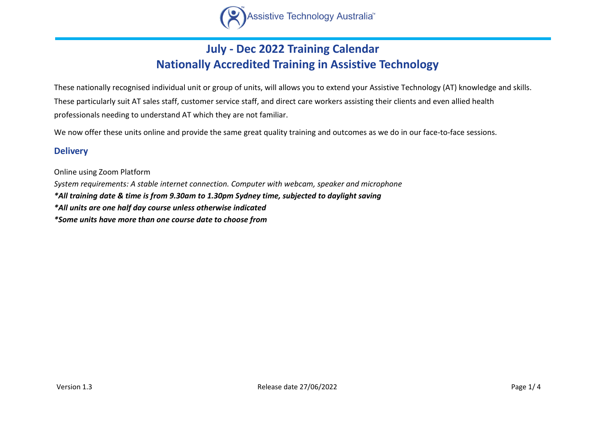

## **July - Dec 2022 Training Calendar Nationally Accredited Training in Assistive Technology**

These nationally recognised individual unit or group of units, will allows you to extend your Assistive Technology (AT) knowledge and skills. These particularly suit AT sales staff, customer service staff, and direct care workers assisting their clients and even allied health professionals needing to understand AT which they are not familiar.

We now offer these units online and provide the same great quality training and outcomes as we do in our face-to-face sessions.

## **Delivery**

Online using Zoom Platform *System requirements: A stable internet connection. Computer with webcam, speaker and microphone \*All training date & time is from 9.30am to 1.30pm Sydney time, subjected to daylight saving \*All units are one half day course unless otherwise indicated \*Some units have more than one course date to choose from*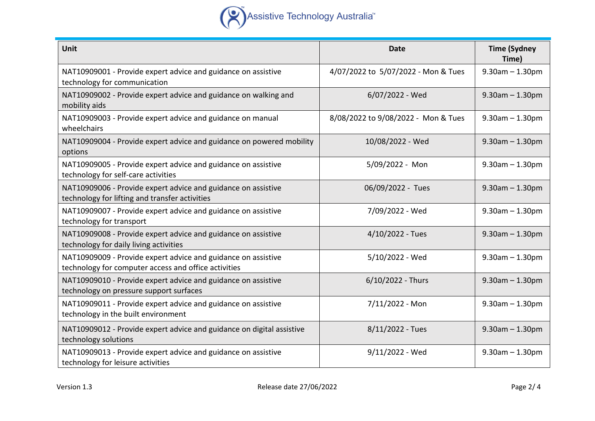

| <b>Unit</b>                                                                                                           | <b>Date</b>                         | <b>Time (Sydney</b><br>Time) |
|-----------------------------------------------------------------------------------------------------------------------|-------------------------------------|------------------------------|
| NAT10909001 - Provide expert advice and guidance on assistive<br>technology for communication                         | 4/07/2022 to 5/07/2022 - Mon & Tues | $9.30$ am $- 1.30$ pm        |
| NAT10909002 - Provide expert advice and guidance on walking and<br>mobility aids                                      | 6/07/2022 - Wed                     | $9.30$ am $- 1.30$ pm        |
| NAT10909003 - Provide expert advice and guidance on manual<br>wheelchairs                                             | 8/08/2022 to 9/08/2022 - Mon & Tues | $9.30$ am $- 1.30$ pm        |
| NAT10909004 - Provide expert advice and guidance on powered mobility<br>options                                       | 10/08/2022 - Wed                    | $9.30$ am $- 1.30$ pm        |
| NAT10909005 - Provide expert advice and guidance on assistive<br>technology for self-care activities                  | 5/09/2022 - Mon                     | $9.30$ am $- 1.30$ pm        |
| NAT10909006 - Provide expert advice and guidance on assistive<br>technology for lifting and transfer activities       | 06/09/2022 - Tues                   | $9.30$ am $- 1.30$ pm        |
| NAT10909007 - Provide expert advice and guidance on assistive<br>technology for transport                             | 7/09/2022 - Wed                     | $9.30$ am $- 1.30$ pm        |
| NAT10909008 - Provide expert advice and guidance on assistive<br>technology for daily living activities               | $4/10/2022$ - Tues                  | $9.30$ am $- 1.30$ pm        |
| NAT10909009 - Provide expert advice and guidance on assistive<br>technology for computer access and office activities | 5/10/2022 - Wed                     | $9.30$ am $- 1.30$ pm        |
| NAT10909010 - Provide expert advice and guidance on assistive<br>technology on pressure support surfaces              | 6/10/2022 - Thurs                   | $9.30$ am $- 1.30$ pm        |
| NAT10909011 - Provide expert advice and guidance on assistive<br>technology in the built environment                  | 7/11/2022 - Mon                     | $9.30$ am $- 1.30$ pm        |
| NAT10909012 - Provide expert advice and guidance on digital assistive<br>technology solutions                         | $8/11/2022$ - Tues                  | $9.30$ am $- 1.30$ pm        |
| NAT10909013 - Provide expert advice and guidance on assistive<br>technology for leisure activities                    | 9/11/2022 - Wed                     | $9.30$ am $- 1.30$ pm        |